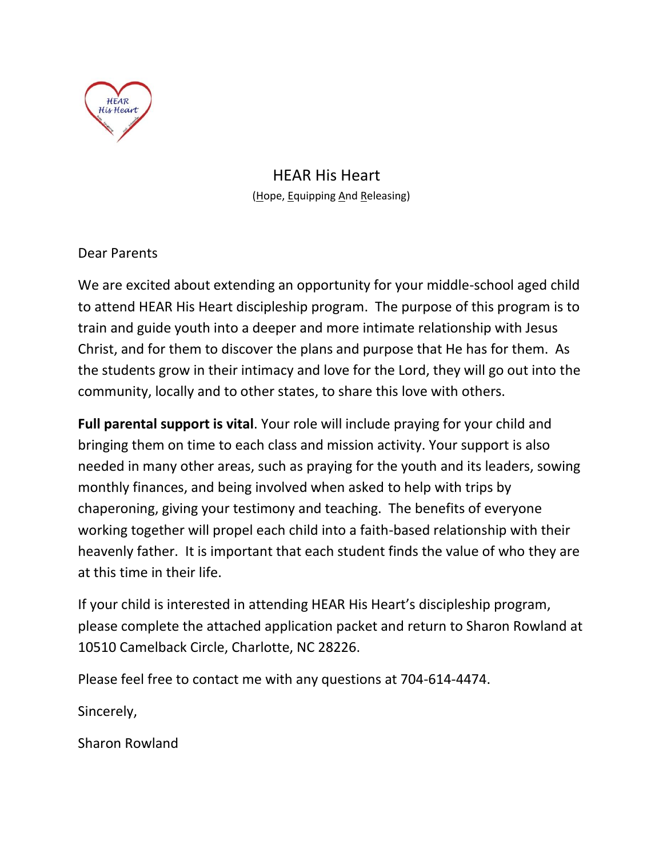

HEAR His Heart (Hope, Equipping And Releasing)

Dear Parents

We are excited about extending an opportunity for your middle-school aged child to attend HEAR His Heart discipleship program. The purpose of this program is to train and guide youth into a deeper and more intimate relationship with Jesus Christ, and for them to discover the plans and purpose that He has for them. As the students grow in their intimacy and love for the Lord, they will go out into the community, locally and to other states, to share this love with others.

**Full parental support is vital**. Your role will include praying for your child and bringing them on time to each class and mission activity. Your support is also needed in many other areas, such as praying for the youth and its leaders, sowing monthly finances, and being involved when asked to help with trips by chaperoning, giving your testimony and teaching. The benefits of everyone working together will propel each child into a faith-based relationship with their heavenly father. It is important that each student finds the value of who they are at this time in their life.

If your child is interested in attending HEAR His Heart's discipleship program, please complete the attached application packet and return to Sharon Rowland at 10510 Camelback Circle, Charlotte, NC 28226.

Please feel free to contact me with any questions at 704-614-4474.

Sincerely,

Sharon Rowland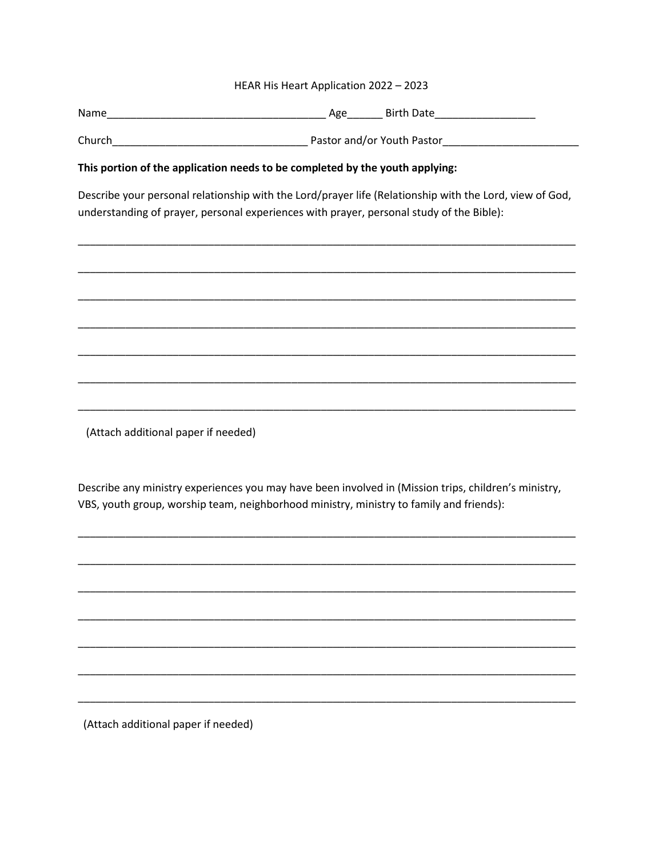#### HEAR His Heart Application 2022 - 2023

Name Birth Date and the Second Library Age Birth Date Birth Date

#### This portion of the application needs to be completed by the youth applying:

Describe your personal relationship with the Lord/prayer life (Relationship with the Lord, view of God, understanding of prayer, personal experiences with prayer, personal study of the Bible):

(Attach additional paper if needed)

Describe any ministry experiences you may have been involved in (Mission trips, children's ministry, VBS, youth group, worship team, neighborhood ministry, ministry to family and friends):

(Attach additional paper if needed)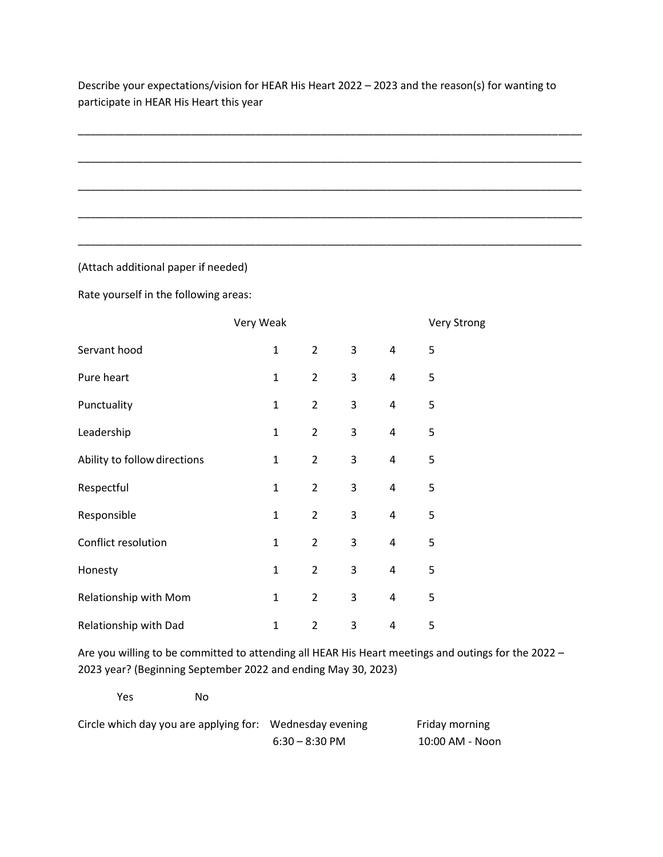Describe your expectations/vision for HEAR His Heart 2022 – 2023 and the reason(s) for wanting to participate in HEAR His Heart this year

\_\_\_\_\_\_\_\_\_\_\_\_\_\_\_\_\_\_\_\_\_\_\_\_\_\_\_\_\_\_\_\_\_\_\_\_\_\_\_\_\_\_\_\_\_\_\_\_\_\_\_\_\_\_\_\_\_\_\_\_\_\_\_\_\_\_\_\_\_\_\_\_\_\_\_\_\_\_\_\_\_\_\_\_\_

\_\_\_\_\_\_\_\_\_\_\_\_\_\_\_\_\_\_\_\_\_\_\_\_\_\_\_\_\_\_\_\_\_\_\_\_\_\_\_\_\_\_\_\_\_\_\_\_\_\_\_\_\_\_\_\_\_\_\_\_\_\_\_\_\_\_\_\_\_\_\_\_\_\_\_\_\_\_\_\_\_\_\_\_\_

\_\_\_\_\_\_\_\_\_\_\_\_\_\_\_\_\_\_\_\_\_\_\_\_\_\_\_\_\_\_\_\_\_\_\_\_\_\_\_\_\_\_\_\_\_\_\_\_\_\_\_\_\_\_\_\_\_\_\_\_\_\_\_\_\_\_\_\_\_\_\_\_\_\_\_\_\_\_\_\_\_\_\_\_\_

\_\_\_\_\_\_\_\_\_\_\_\_\_\_\_\_\_\_\_\_\_\_\_\_\_\_\_\_\_\_\_\_\_\_\_\_\_\_\_\_\_\_\_\_\_\_\_\_\_\_\_\_\_\_\_\_\_\_\_\_\_\_\_\_\_\_\_\_\_\_\_\_\_\_\_\_\_\_\_\_\_\_\_\_\_

\_\_\_\_\_\_\_\_\_\_\_\_\_\_\_\_\_\_\_\_\_\_\_\_\_\_\_\_\_\_\_\_\_\_\_\_\_\_\_\_\_\_\_\_\_\_\_\_\_\_\_\_\_\_\_\_\_\_\_\_\_\_\_\_\_\_\_\_\_\_\_\_\_\_\_\_\_\_\_\_\_\_\_\_\_

(Attach additional paper if needed)

Rate yourself in the following areas:

|                              | Very Weak    |                |   |                | <b>Very Strong</b> |  |
|------------------------------|--------------|----------------|---|----------------|--------------------|--|
| Servant hood                 | $\mathbf 1$  | $\overline{2}$ | 3 | 4              | 5                  |  |
| Pure heart                   | $\mathbf 1$  | $\overline{2}$ | 3 | $\overline{4}$ | 5                  |  |
| Punctuality                  | $\mathbf{1}$ | $\overline{2}$ | 3 | 4              | 5                  |  |
| Leadership                   | $\mathbf 1$  | $\overline{2}$ | 3 | 4              | 5                  |  |
| Ability to follow directions | $\mathbf 1$  | $\overline{2}$ | 3 | 4              | 5                  |  |
| Respectful                   | $\mathbf 1$  | $\overline{2}$ | 3 | 4              | 5                  |  |
| Responsible                  | $\mathbf{1}$ | $\overline{2}$ | 3 | 4              | 5                  |  |
| Conflict resolution          | $\mathbf 1$  | $\overline{2}$ | 3 | 4              | 5                  |  |
| Honesty                      | $\mathbf{1}$ | $\overline{2}$ | 3 | 4              | 5                  |  |
| Relationship with Mom        | $\mathbf{1}$ | $\overline{2}$ | 3 | 4              | 5                  |  |
| Relationship with Dad        | $\mathbf{1}$ | $\overline{2}$ | 3 | 4              | 5                  |  |

Are you willing to be committed to attending all HEAR His Heart meetings and outings for the 2022 – 2023 year? (Beginning September 2022 and ending May 30, 2023)

Yes No

| Circle which day you are applying for: Wednesday evening |                  | Friday morning  |
|----------------------------------------------------------|------------------|-----------------|
|                                                          | $6:30 - 8:30$ PM | 10:00 AM - Noon |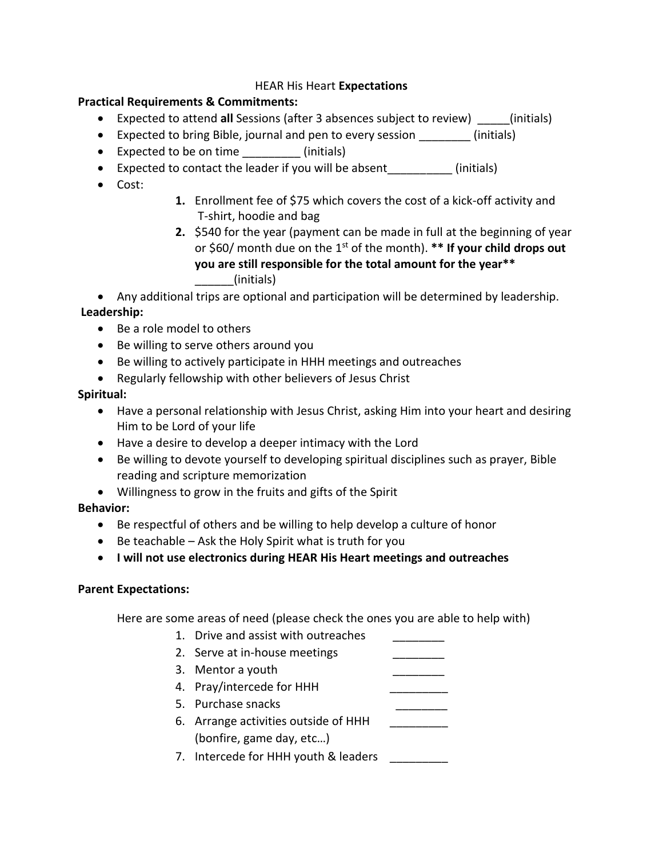### HEAR His Heart **Expectations**

### **Practical Requirements & Commitments:**

- Expected to attend **all** Sessions (after 3 absences subject to review) (initials)
- Expected to bring Bible, journal and pen to every session \_\_\_\_\_\_\_\_\_\_ (initials)
- Expected to be on time (initials)
- Expected to contact the leader if you will be absent (initials)
- Cost:
- **1.** Enrollment fee of \$75 which covers the cost of a kick-off activity and T-shirt, hoodie and bag
- **2.** \$540 for the year (payment can be made in full at the beginning of year or \$60/ month due on the 1st of the month). **\*\* If your child drops out you are still responsible for the total amount for the year\*\***  \_\_\_\_\_\_(initials)

• Any additional trips are optional and participation will be determined by leadership.

# **Leadership:**

- Be a role model to others
- Be willing to serve others around you
- Be willing to actively participate in HHH meetings and outreaches
- Regularly fellowship with other believers of Jesus Christ

### **Spiritual:**

- Have a personal relationship with Jesus Christ, asking Him into your heart and desiring Him to be Lord of your life
- Have a desire to develop a deeper intimacy with the Lord
- Be willing to devote yourself to developing spiritual disciplines such as prayer, Bible reading and scripture memorization
- Willingness to grow in the fruits and gifts of the Spirit

# **Behavior:**

- Be respectful of others and be willing to help develop a culture of honor
- Be teachable Ask the Holy Spirit what is truth for you
- **I will not use electronics during HEAR His Heart meetings and outreaches**

#### **Parent Expectations:**

Here are some areas of need (please check the ones you are able to help with)

- 1. Drive and assist with outreaches
- 2. Serve at in-house meetings
- 3. Mentor a youth
- 4. Pray/intercede for HHH
- 5. Purchase snacks
- 6. Arrange activities outside of HHH (bonfire, game day, etc…)
- 7. Intercede for HHH youth & leaders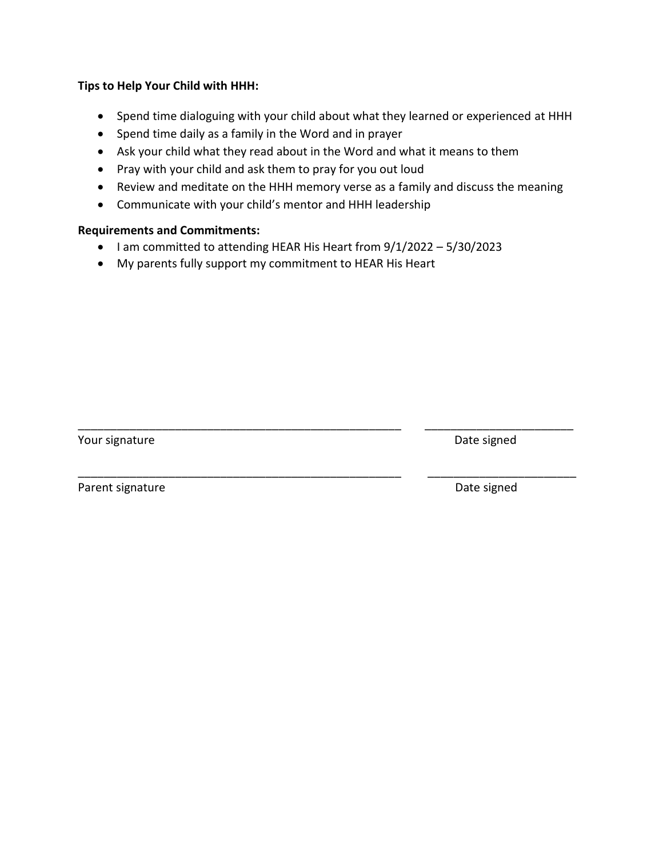### **Tips to Help Your Child with HHH:**

- Spend time dialoguing with your child about what they learned or experienced at HHH
- Spend time daily as a family in the Word and in prayer
- Ask your child what they read about in the Word and what it means to them
- Pray with your child and ask them to pray for you out loud
- Review and meditate on the HHH memory verse as a family and discuss the meaning

\_\_\_\_\_\_\_\_\_\_\_\_\_\_\_\_\_\_\_\_\_\_\_\_\_\_\_\_\_\_\_\_\_\_\_\_\_\_\_\_\_\_\_\_\_\_\_\_\_\_ \_\_\_\_\_\_\_\_\_\_\_\_\_\_\_\_\_\_\_\_\_\_\_

\_\_\_\_\_\_\_\_\_\_\_\_\_\_\_\_\_\_\_\_\_\_\_\_\_\_\_\_\_\_\_\_\_\_\_\_\_\_\_\_\_\_\_\_\_\_\_\_\_\_ \_\_\_\_\_\_\_\_\_\_\_\_\_\_\_\_\_\_\_\_\_\_\_

• Communicate with your child's mentor and HHH leadership

### **Requirements and Commitments:**

- I am committed to attending HEAR His Heart from 9/1/2022 5/30/2023
- My parents fully support my commitment to HEAR His Heart

Your signature **Date signed** 

Parent signature **Date signed**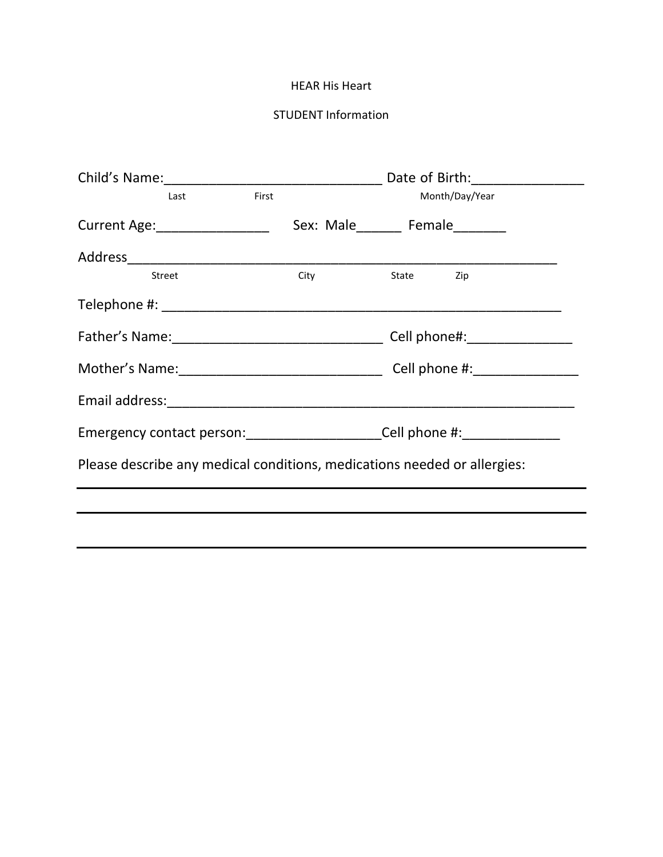#### HEAR His Heart

# STUDENT Information

|                                                                          | Last   | First |                                   |  | Month/Day/Year |  |
|--------------------------------------------------------------------------|--------|-------|-----------------------------------|--|----------------|--|
| Current Age: _________________                                           |        |       | Sex: Male________ Female_________ |  |                |  |
|                                                                          |        |       |                                   |  |                |  |
|                                                                          | Street |       | City State Zip                    |  |                |  |
|                                                                          |        |       |                                   |  |                |  |
|                                                                          |        |       |                                   |  |                |  |
|                                                                          |        |       |                                   |  |                |  |
|                                                                          |        |       |                                   |  |                |  |
| Emergency contact person: Cell phone #:                                  |        |       |                                   |  |                |  |
| Please describe any medical conditions, medications needed or allergies: |        |       |                                   |  |                |  |
|                                                                          |        |       |                                   |  |                |  |
|                                                                          |        |       |                                   |  |                |  |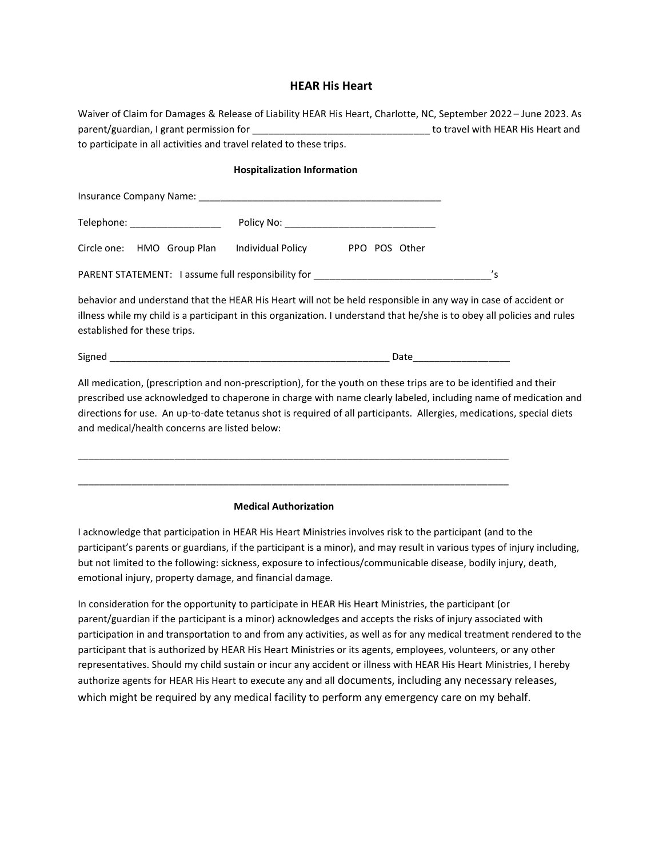#### **HEAR His Heart**

| Waiver of Claim for Damages & Release of Liability HEAR His Heart, Charlotte, NC, September 2022 – June 2023. As |                                   |
|------------------------------------------------------------------------------------------------------------------|-----------------------------------|
| parent/guardian, I grant permission for                                                                          | to travel with HEAR His Heart and |
| to participate in all activities and travel related to these trips.                                              |                                   |

#### **Hospitalization Information**

| Telephone: __________________                                                    |                   |               |                            |
|----------------------------------------------------------------------------------|-------------------|---------------|----------------------------|
| Circle one: HMO Group Plan                                                       | Individual Policy | PPO POS Other |                            |
| PARENT STATEMENT: I assume full responsibility for _____________________________ |                   |               | $\mathcal{L}_{\mathsf{S}}$ |

behavior and understand that the HEAR His Heart will not be held responsible in any way in case of accident or illness while my child is a participant in this organization. I understand that he/she is to obey all policies and rules established for these trips.

Signed \_\_\_\_\_\_\_\_\_\_\_\_\_\_\_\_\_\_\_\_\_\_\_\_\_\_\_\_\_\_\_\_\_\_\_\_\_\_\_\_\_\_\_\_\_\_\_\_\_\_\_\_ Date\_\_\_\_\_\_\_\_\_\_\_\_\_\_\_\_\_\_

All medication, (prescription and non-prescription), for the youth on these trips are to be identified and their prescribed use acknowledged to chaperone in charge with name clearly labeled, including name of medication and directions for use. An up-to-date tetanus shot is required of all participants. Allergies, medications, special diets and medical/health concerns are listed below:

| <b>Medical Authorization</b> |  |
|------------------------------|--|

\_\_\_\_\_\_\_\_\_\_\_\_\_\_\_\_\_\_\_\_\_\_\_\_\_\_\_\_\_\_\_\_\_\_\_\_\_\_\_\_\_\_\_\_\_\_\_\_\_\_\_\_\_\_\_\_\_\_\_\_\_\_\_\_\_\_\_\_\_\_\_\_\_\_\_\_\_\_\_\_

I acknowledge that participation in HEAR His Heart Ministries involves risk to the participant (and to the participant's parents or guardians, if the participant is a minor), and may result in various types of injury including, but not limited to the following: sickness, exposure to infectious/communicable disease, bodily injury, death, emotional injury, property damage, and financial damage.

In consideration for the opportunity to participate in HEAR His Heart Ministries, the participant (or parent/guardian if the participant is a minor) acknowledges and accepts the risks of injury associated with participation in and transportation to and from any activities, as well as for any medical treatment rendered to the participant that is authorized by HEAR His Heart Ministries or its agents, employees, volunteers, or any other representatives. Should my child sustain or incur any accident or illness with HEAR His Heart Ministries, I hereby authorize agents for HEAR His Heart to execute any and all documents, including any necessary releases, which might be required by any medical facility to perform any emergency care on my behalf.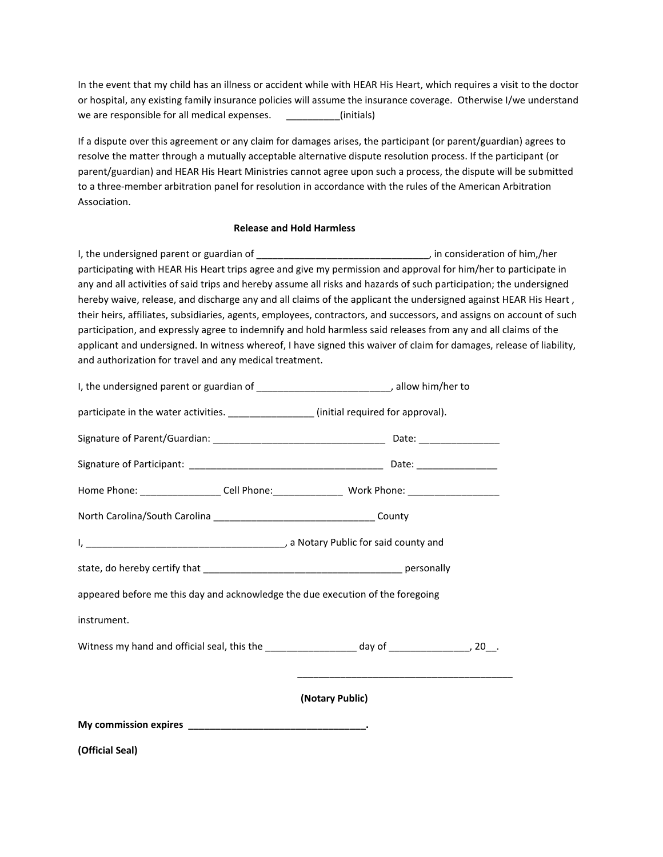In the event that my child has an illness or accident while with HEAR His Heart, which requires a visit to the doctor or hospital, any existing family insurance policies will assume the insurance coverage. Otherwise I/we understand we are responsible for all medical expenses.  $\qquad \qquad$  (initials)

If a dispute over this agreement or any claim for damages arises, the participant (or parent/guardian) agrees to resolve the matter through a mutually acceptable alternative dispute resolution process. If the participant (or parent/guardian) and HEAR His Heart Ministries cannot agree upon such a process, the dispute will be submitted to a three-member arbitration panel for resolution in accordance with the rules of the American Arbitration Association.

#### **Release and Hold Harmless**

I, the undersigned parent or guardian of \_\_\_\_\_\_\_\_\_\_\_\_\_\_\_\_\_\_\_\_\_\_\_\_\_\_\_\_\_\_\_\_\_, in consideration of him,/her participating with HEAR His Heart trips agree and give my permission and approval for him/her to participate in any and all activities of said trips and hereby assume all risks and hazards of such participation; the undersigned hereby waive, release, and discharge any and all claims of the applicant the undersigned against HEAR His Heart , their heirs, affiliates, subsidiaries, agents, employees, contractors, and successors, and assigns on account of such participation, and expressly agree to indemnify and hold harmless said releases from any and all claims of the applicant and undersigned. In witness whereof, I have signed this waiver of claim for damages, release of liability, and authorization for travel and any medical treatment.

| (Official Seal)                                                                             |                 |
|---------------------------------------------------------------------------------------------|-----------------|
|                                                                                             |                 |
|                                                                                             | (Notary Public) |
|                                                                                             |                 |
| instrument.                                                                                 |                 |
| appeared before me this day and acknowledge the due execution of the foregoing              |                 |
|                                                                                             |                 |
|                                                                                             |                 |
|                                                                                             |                 |
|                                                                                             |                 |
|                                                                                             |                 |
|                                                                                             |                 |
| participate in the water activities. _________________(initial required for approval).      |                 |
| I, the undersigned parent or guardian of ________________________________, allow him/her to |                 |